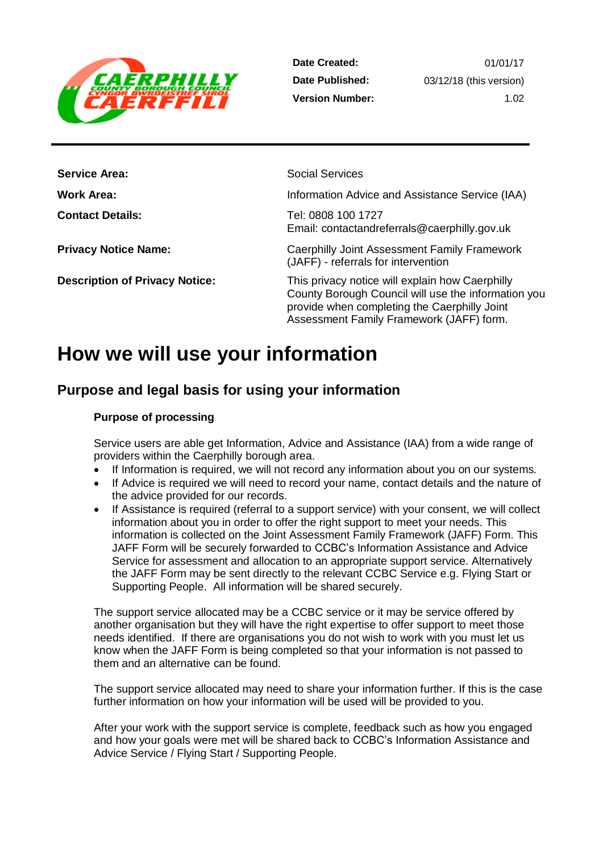

**Date Created: Date Published: Version Number:**

| <b>Service Area:</b>                  | <b>Social Services</b>                                                                                                                                                                             |
|---------------------------------------|----------------------------------------------------------------------------------------------------------------------------------------------------------------------------------------------------|
| Work Area:                            | Information Advice and Assistance Service (IAA)                                                                                                                                                    |
| <b>Contact Details:</b>               | Tel: 0808 100 1727<br>Email: contactandreferrals@caerphilly.gov.uk                                                                                                                                 |
| <b>Privacy Notice Name:</b>           | Caerphilly Joint Assessment Family Framework<br>(JAFF) - referrals for intervention                                                                                                                |
| <b>Description of Privacy Notice:</b> | This privacy notice will explain how Caerphilly<br>County Borough Council will use the information you<br>provide when completing the Caerphilly Joint<br>Assessment Family Framework (JAFF) form. |

# **How we will use your information**

# **Purpose and legal basis for using your information**

#### **Purpose of processing**

Service users are able get Information, Advice and Assistance (IAA) from a wide range of providers within the Caerphilly borough area.

- If Information is required, we will not record any information about you on our systems.
- If Advice is required we will need to record your name, contact details and the nature of the advice provided for our records.
- If Assistance is required (referral to a support service) with your consent, we will collect information about you in order to offer the right support to meet your needs. This information is collected on the Joint Assessment Family Framework (JAFF) Form. This JAFF Form will be securely forwarded to CCBC's Information Assistance and Advice Service for assessment and allocation to an appropriate support service. Alternatively the JAFF Form may be sent directly to the relevant CCBC Service e.g. Flying Start or Supporting People. All information will be shared securely.

The support service allocated may be a CCBC service or it may be service offered by another organisation but they will have the right expertise to offer support to meet those needs identified. If there are organisations you do not wish to work with you must let us know when the JAFF Form is being completed so that your information is not passed to them and an alternative can be found.

The support service allocated may need to share your information further. If this is the case further information on how your information will be used will be provided to you.

After your work with the support service is complete, feedback such as how you engaged and how your goals were met will be shared back to CCBC's Information Assistance and Advice Service / Flying Start / Supporting People.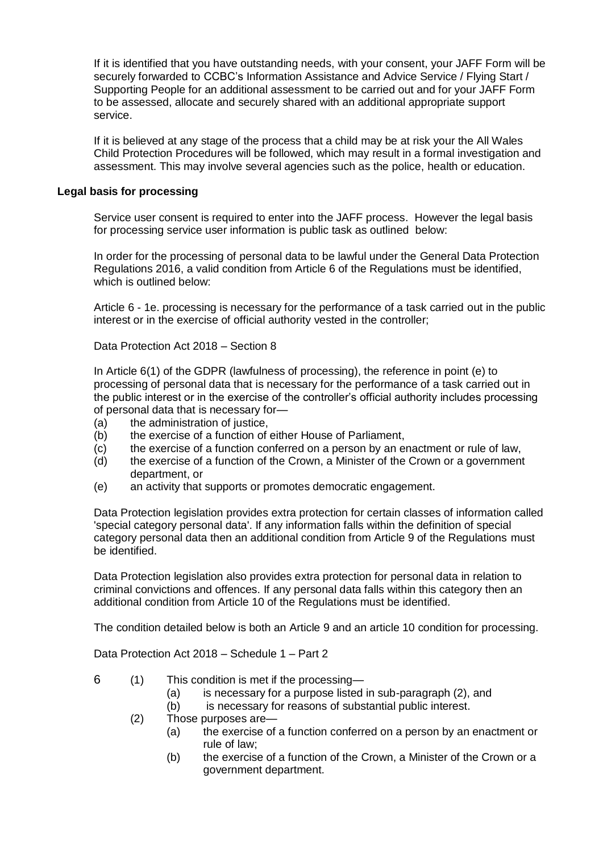If it is identified that you have outstanding needs, with your consent, your JAFF Form will be securely forwarded to CCBC's Information Assistance and Advice Service / Flying Start / Supporting People for an additional assessment to be carried out and for your JAFF Form to be assessed, allocate and securely shared with an additional appropriate support service.

If it is believed at any stage of the process that a child may be at risk your the All Wales Child Protection Procedures will be followed, which may result in a formal investigation and assessment. This may involve several agencies such as the police, health or education.

#### **Legal basis for processing**

Service user consent is required to enter into the JAFF process. However the legal basis for processing service user information is public task as outlined below:

In order for the processing of personal data to be lawful under the General Data Protection Regulations 2016, a valid condition from Article 6 of the Regulations must be identified, which is outlined below:

Article 6 - 1e. processing is necessary for the performance of a task carried out in the public interest or in the exercise of official authority vested in the controller;

Data Protection Act 2018 – Section 8

In Article 6(1) of the GDPR (lawfulness of processing), the reference in point (e) to processing of personal data that is necessary for the performance of a task carried out in the public interest or in the exercise of the controller's official authority includes processing of personal data that is necessary for—

- (a) the administration of justice,
- (b) the exercise of a function of either House of Parliament,
- (c) the exercise of a function conferred on a person by an enactment or rule of law,
- (d) the exercise of a function of the Crown, a Minister of the Crown or a government department, or
- (e) an activity that supports or promotes democratic engagement.

Data Protection legislation provides extra protection for certain classes of information called 'special category personal data'. If any information falls within the definition of special category personal data then an additional condition from Article 9 of the Regulations must be identified.

Data Protection legislation also provides extra protection for personal data in relation to criminal convictions and offences. If any personal data falls within this category then an additional condition from Article 10 of the Regulations must be identified.

The condition detailed below is both an Article 9 and an article 10 condition for processing.

Data Protection Act 2018 – Schedule 1 – Part 2

- 6 (1) This condition is met if the processing—
	- (a) is necessary for a purpose listed in sub-paragraph (2), and
	- (b) is necessary for reasons of substantial public interest.
	- (2) Those purposes are—
		- (a) the exercise of a function conferred on a person by an enactment or rule of law;
		- (b) the exercise of a function of the Crown, a Minister of the Crown or a government department.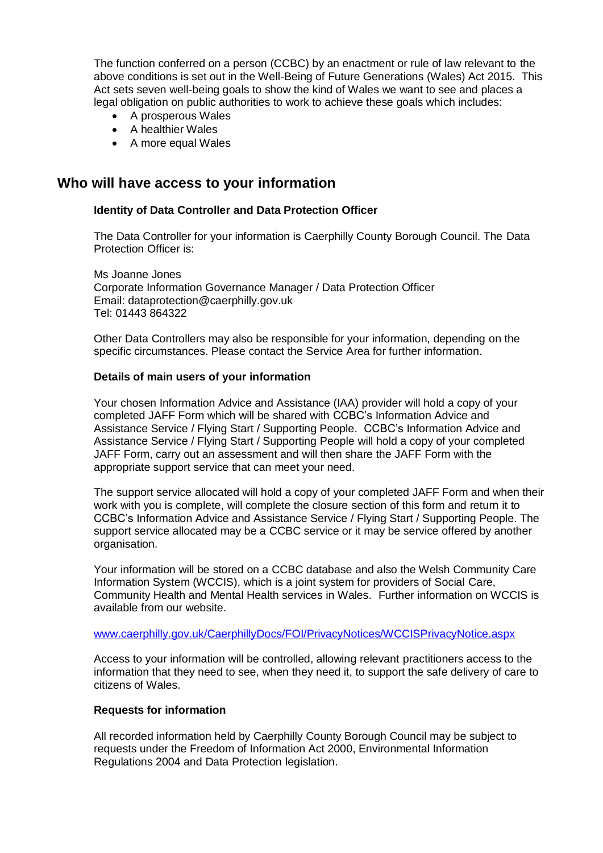The function conferred on a person (CCBC) by an enactment or rule of law relevant to the above conditions is set out in the Well-Being of Future Generations (Wales) Act 2015. This Act sets seven well-being goals to show the kind of Wales we want to see and places a legal obligation on public authorities to work to achieve these goals which includes:

- A prosperous Wales
- A healthier Wales
- A more equal Wales

### **Who will have access to your information**

#### **Identity of Data Controller and Data Protection Officer**

The Data Controller for your information is Caerphilly County Borough Council. The Data Protection Officer is:

Ms Joanne Jones Corporate Information Governance Manager / Data Protection Officer Email: dataprotection@caerphilly.gov.uk Tel: 01443 864322

Other Data Controllers may also be responsible for your information, depending on the specific circumstances. Please contact the Service Area for further information.

#### **Details of main users of your information**

Your chosen Information Advice and Assistance (IAA) provider will hold a copy of your completed JAFF Form which will be shared with CCBC's Information Advice and Assistance Service / Flying Start / Supporting People. CCBC's Information Advice and Assistance Service / Flying Start / Supporting People will hold a copy of your completed JAFF Form, carry out an assessment and will then share the JAFF Form with the appropriate support service that can meet your need.

The support service allocated will hold a copy of your completed JAFF Form and when their work with you is complete, will complete the closure section of this form and return it to CCBC's Information Advice and Assistance Service / Flying Start / Supporting People. The support service allocated may be a CCBC service or it may be service offered by another organisation.

Your information will be stored on a CCBC database and also the Welsh Community Care Information System (WCCIS), which is a joint system for providers of Social Care, Community Health and Mental Health services in Wales. Further information on WCCIS is available from our website.

#### [www.caerphilly.gov.uk/CaerphillyDocs/FOI/PrivacyNotices/WCCISPrivacyNotice.aspx](https://www.caerphilly.gov.uk/CaerphillyDocs/FOI/PrivacyNotices/WCCISPrivacyNotice.aspx)

Access to your information will be controlled, allowing relevant practitioners access to the information that they need to see, when they need it, to support the safe delivery of care to citizens of Wales.

#### **Requests for information**

All recorded information held by Caerphilly County Borough Council may be subject to requests under the Freedom of Information Act 2000, Environmental Information Regulations 2004 and Data Protection legislation.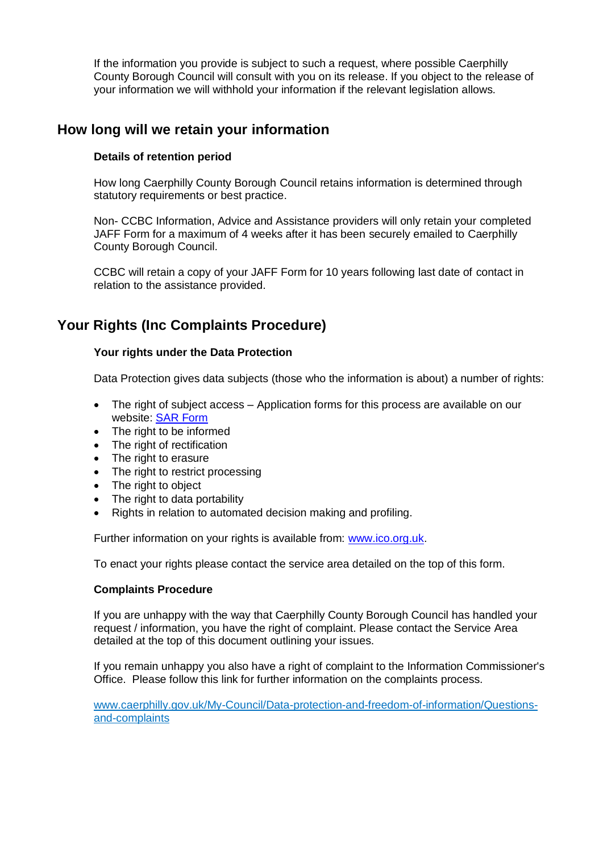If the information you provide is subject to such a request, where possible Caerphilly County Borough Council will consult with you on its release. If you object to the release of your information we will withhold your information if the relevant legislation allows.

## **How long will we retain your information**

#### **Details of retention period**

How long Caerphilly County Borough Council retains information is determined through statutory requirements or best practice.

Non- CCBC Information, Advice and Assistance providers will only retain your completed JAFF Form for a maximum of 4 weeks after it has been securely emailed to Caerphilly County Borough Council.

CCBC will retain a copy of your JAFF Form for 10 years following last date of contact in relation to the assistance provided.

## **Your Rights (Inc Complaints Procedure)**

#### **Your rights under the Data Protection**

Data Protection gives data subjects (those who the information is about) a number of rights:

- The right of subject access Application forms for this process are available on our website: [SAR Form](http://www.caerphilly.gov.uk/CaerphillyDocs/Council-and-democracy/sar_form.aspx)
- The right to be informed
- The right of rectification
- The right to erasure
- The right to restrict processing
- The right to object
- The right to data portability
- Rights in relation to automated decision making and profiling.

Further information on your rights is available from: [www.ico.org.uk.](http://www.ico.org.uk/)

To enact your rights please contact the service area detailed on the top of this form.

#### **Complaints Procedure**

If you are unhappy with the way that Caerphilly County Borough Council has handled your request / information, you have the right of complaint. Please contact the Service Area detailed at the top of this document outlining your issues.

If you remain unhappy you also have a right of complaint to the Information Commissioner's Office. Please follow this link for further information on the complaints process.

[www.caerphilly.gov.uk/My-Council/Data-protection-and-freedom-of-information/Questions](http://www.caerphilly.gov.uk/My-Council/Data-protection-and-freedom-of-information/Questions-and-complaints)[and-complaints](http://www.caerphilly.gov.uk/My-Council/Data-protection-and-freedom-of-information/Questions-and-complaints)